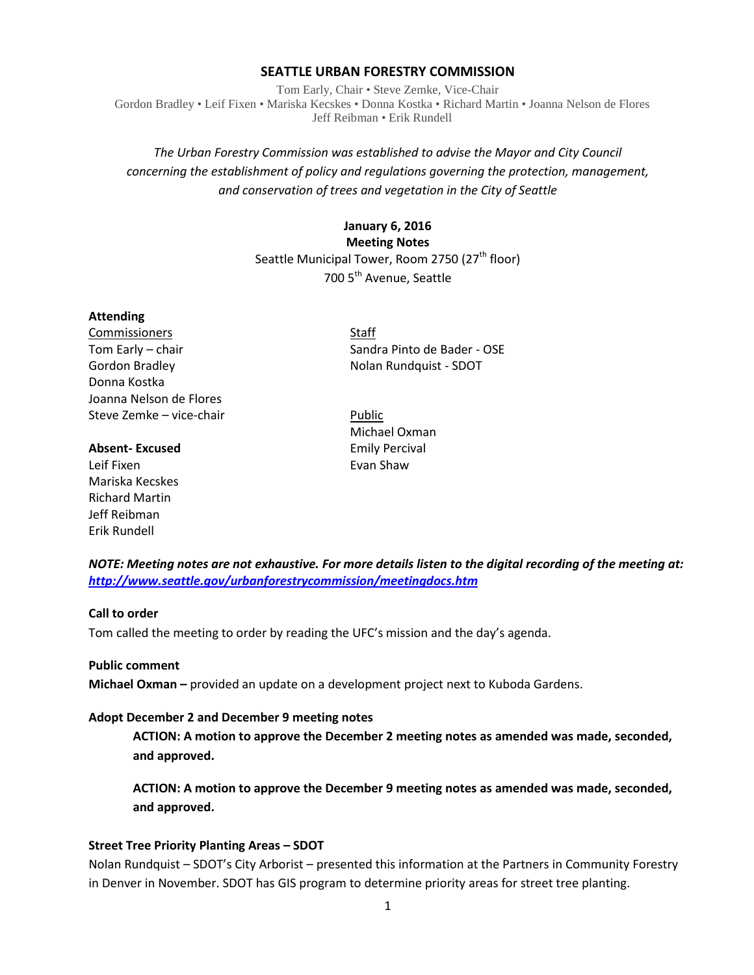## **SEATTLE URBAN FORESTRY COMMISSION**

Tom Early, Chair • Steve Zemke, Vice-Chair Gordon Bradley • Leif Fixen • Mariska Kecskes • Donna Kostka • Richard Martin • Joanna Nelson de Flores Jeff Reibman • Erik Rundell

# *The Urban Forestry Commission was established to advise the Mayor and City Council concerning the establishment of policy and regulations governing the protection, management, and conservation of trees and vegetation in the City of Seattle*

# **January 6, 2016 Meeting Notes** Seattle Municipal Tower, Room 2750 (27<sup>th</sup> floor) 700 5<sup>th</sup> Avenue, Seattle

#### **Attending**

Commissioners Staff Gordon Bradley **No. 2018** Nolan Rundquist - SDOT Donna Kostka Joanna Nelson de Flores Steve Zemke – vice-chair Public

#### **Absent-Excused** Emily Percival

Leif Fixen **Evan Shaw** Mariska Kecskes Richard Martin Jeff Reibman Erik Rundell

Tom Early – chair Sandra Pinto de Bader - OSE

Michael Oxman

*NOTE: Meeting notes are not exhaustive. For more details listen to the digital recording of the meeting at: <http://www.seattle.gov/urbanforestrycommission/meetingdocs.htm>*

# **Call to order**

Tom called the meeting to order by reading the UFC's mission and the day's agenda.

#### **Public comment**

**Michael Oxman –** provided an update on a development project next to Kuboda Gardens.

#### **Adopt December 2 and December 9 meeting notes**

**ACTION: A motion to approve the December 2 meeting notes as amended was made, seconded, and approved.**

**ACTION: A motion to approve the December 9 meeting notes as amended was made, seconded, and approved.**

#### **Street Tree Priority Planting Areas – SDOT**

Nolan Rundquist – SDOT's City Arborist – presented this information at the Partners in Community Forestry in Denver in November. SDOT has GIS program to determine priority areas for street tree planting.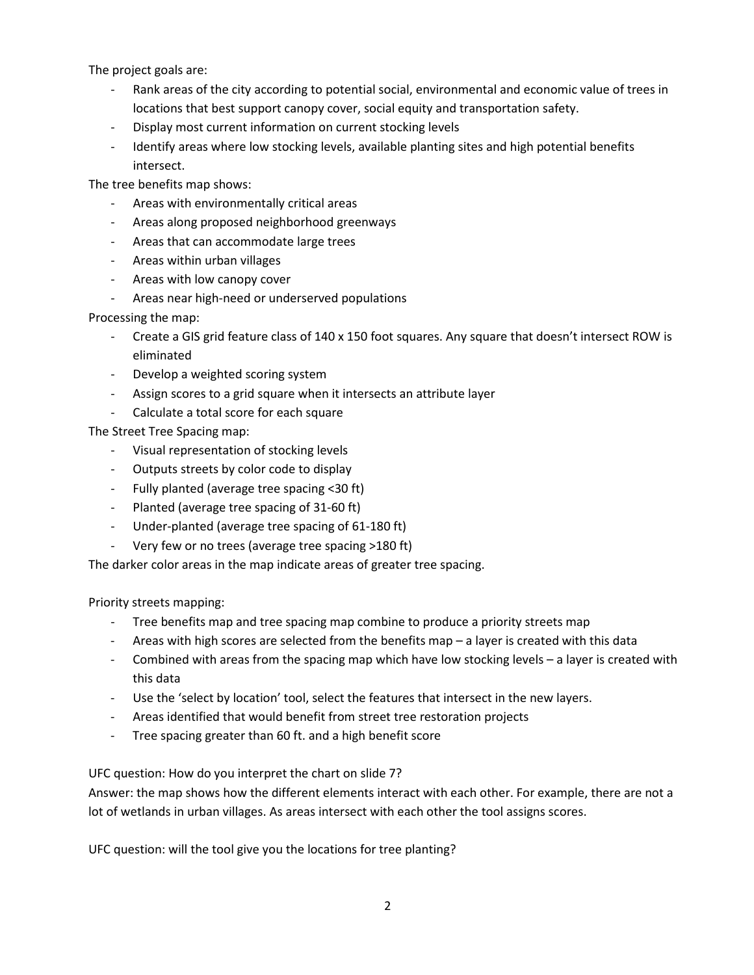The project goals are:

- Rank areas of the city according to potential social, environmental and economic value of trees in locations that best support canopy cover, social equity and transportation safety.
- Display most current information on current stocking levels
- Identify areas where low stocking levels, available planting sites and high potential benefits intersect.

The tree benefits map shows:

- Areas with environmentally critical areas
- Areas along proposed neighborhood greenways
- Areas that can accommodate large trees
- Areas within urban villages
- Areas with low canopy cover
- Areas near high-need or underserved populations

Processing the map:

- Create a GIS grid feature class of 140 x 150 foot squares. Any square that doesn't intersect ROW is eliminated
- Develop a weighted scoring system
- Assign scores to a grid square when it intersects an attribute layer
- Calculate a total score for each square

The Street Tree Spacing map:

- Visual representation of stocking levels
- Outputs streets by color code to display
- Fully planted (average tree spacing <30 ft)
- Planted (average tree spacing of 31-60 ft)
- Under-planted (average tree spacing of 61-180 ft)
- Very few or no trees (average tree spacing >180 ft)

The darker color areas in the map indicate areas of greater tree spacing.

Priority streets mapping:

- Tree benefits map and tree spacing map combine to produce a priority streets map
- Areas with high scores are selected from the benefits map a layer is created with this data
- Combined with areas from the spacing map which have low stocking levels a layer is created with this data
- Use the 'select by location' tool, select the features that intersect in the new layers.
- Areas identified that would benefit from street tree restoration projects
- Tree spacing greater than 60 ft. and a high benefit score

UFC question: How do you interpret the chart on slide 7?

Answer: the map shows how the different elements interact with each other. For example, there are not a lot of wetlands in urban villages. As areas intersect with each other the tool assigns scores.

UFC question: will the tool give you the locations for tree planting?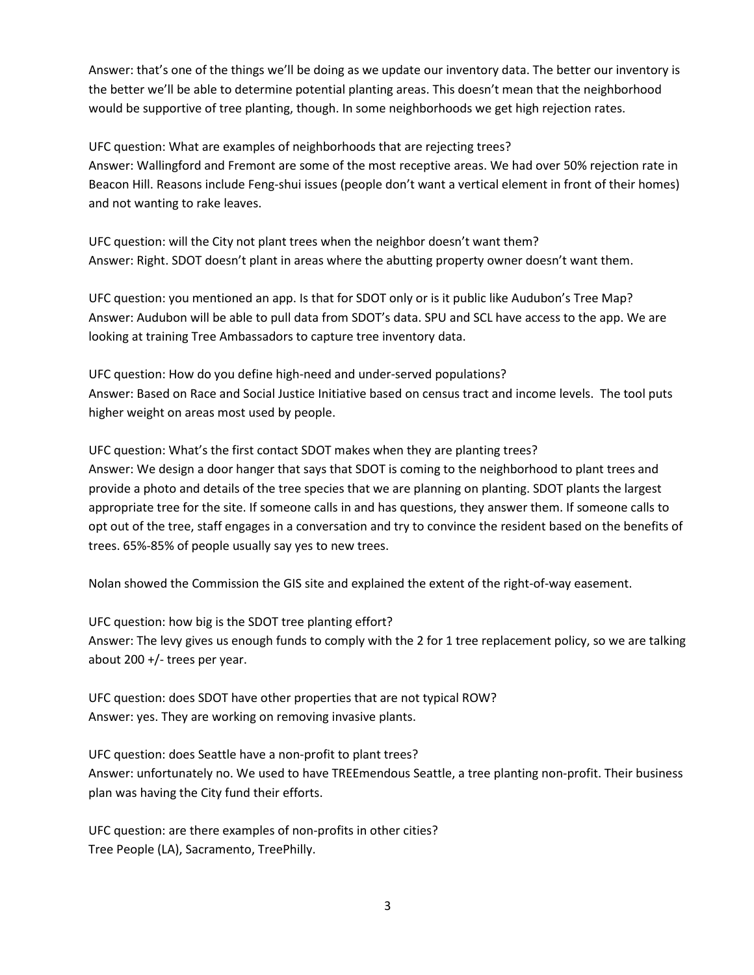Answer: that's one of the things we'll be doing as we update our inventory data. The better our inventory is the better we'll be able to determine potential planting areas. This doesn't mean that the neighborhood would be supportive of tree planting, though. In some neighborhoods we get high rejection rates.

UFC question: What are examples of neighborhoods that are rejecting trees? Answer: Wallingford and Fremont are some of the most receptive areas. We had over 50% rejection rate in Beacon Hill. Reasons include Feng-shui issues (people don't want a vertical element in front of their homes) and not wanting to rake leaves.

UFC question: will the City not plant trees when the neighbor doesn't want them? Answer: Right. SDOT doesn't plant in areas where the abutting property owner doesn't want them.

UFC question: you mentioned an app. Is that for SDOT only or is it public like Audubon's Tree Map? Answer: Audubon will be able to pull data from SDOT's data. SPU and SCL have access to the app. We are looking at training Tree Ambassadors to capture tree inventory data.

UFC question: How do you define high-need and under-served populations? Answer: Based on Race and Social Justice Initiative based on census tract and income levels. The tool puts higher weight on areas most used by people.

UFC question: What's the first contact SDOT makes when they are planting trees? Answer: We design a door hanger that says that SDOT is coming to the neighborhood to plant trees and provide a photo and details of the tree species that we are planning on planting. SDOT plants the largest appropriate tree for the site. If someone calls in and has questions, they answer them. If someone calls to opt out of the tree, staff engages in a conversation and try to convince the resident based on the benefits of trees. 65%-85% of people usually say yes to new trees.

Nolan showed the Commission the GIS site and explained the extent of the right-of-way easement.

UFC question: how big is the SDOT tree planting effort? Answer: The levy gives us enough funds to comply with the 2 for 1 tree replacement policy, so we are talking about 200 +/- trees per year.

UFC question: does SDOT have other properties that are not typical ROW? Answer: yes. They are working on removing invasive plants.

UFC question: does Seattle have a non-profit to plant trees? Answer: unfortunately no. We used to have TREEmendous Seattle, a tree planting non-profit. Their business plan was having the City fund their efforts.

UFC question: are there examples of non-profits in other cities? Tree People (LA), Sacramento, TreePhilly.